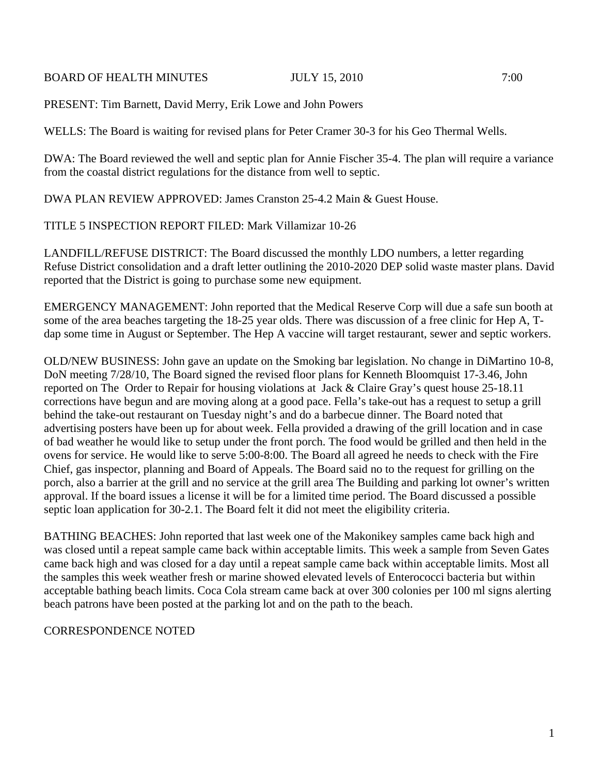## BOARD OF HEALTH MINUTES JULY 15, 2010 7:00

PRESENT: Tim Barnett, David Merry, Erik Lowe and John Powers

WELLS: The Board is waiting for revised plans for Peter Cramer 30-3 for his Geo Thermal Wells.

DWA: The Board reviewed the well and septic plan for Annie Fischer 35-4. The plan will require a variance from the coastal district regulations for the distance from well to septic.

DWA PLAN REVIEW APPROVED: James Cranston 25-4.2 Main & Guest House.

## TITLE 5 INSPECTION REPORT FILED: Mark Villamizar 10-26

LANDFILL/REFUSE DISTRICT: The Board discussed the monthly LDO numbers, a letter regarding Refuse District consolidation and a draft letter outlining the 2010-2020 DEP solid waste master plans. David reported that the District is going to purchase some new equipment.

EMERGENCY MANAGEMENT: John reported that the Medical Reserve Corp will due a safe sun booth at some of the area beaches targeting the 18-25 year olds. There was discussion of a free clinic for Hep A, Tdap some time in August or September. The Hep A vaccine will target restaurant, sewer and septic workers.

OLD/NEW BUSINESS: John gave an update on the Smoking bar legislation. No change in DiMartino 10-8, DoN meeting 7/28/10, The Board signed the revised floor plans for Kenneth Bloomquist 17-3.46, John reported on The Order to Repair for housing violations at Jack & Claire Gray's quest house 25-18.11 corrections have begun and are moving along at a good pace. Fella's take-out has a request to setup a grill behind the take-out restaurant on Tuesday night's and do a barbecue dinner. The Board noted that advertising posters have been up for about week. Fella provided a drawing of the grill location and in case of bad weather he would like to setup under the front porch. The food would be grilled and then held in the ovens for service. He would like to serve 5:00-8:00. The Board all agreed he needs to check with the Fire Chief, gas inspector, planning and Board of Appeals. The Board said no to the request for grilling on the porch, also a barrier at the grill and no service at the grill area The Building and parking lot owner's written approval. If the board issues a license it will be for a limited time period. The Board discussed a possible septic loan application for 30-2.1. The Board felt it did not meet the eligibility criteria.

BATHING BEACHES: John reported that last week one of the Makonikey samples came back high and was closed until a repeat sample came back within acceptable limits. This week a sample from Seven Gates came back high and was closed for a day until a repeat sample came back within acceptable limits. Most all the samples this week weather fresh or marine showed elevated levels of Enterococci bacteria but within acceptable bathing beach limits. Coca Cola stream came back at over 300 colonies per 100 ml signs alerting beach patrons have been posted at the parking lot and on the path to the beach.

## CORRESPONDENCE NOTED